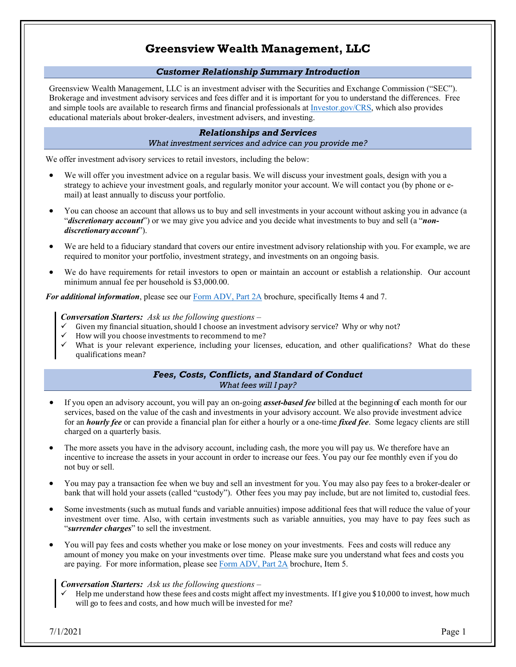# **Greensview Wealth Management, LLC**

# *Customer Relationship Summary Introduction*

Greensview Wealth Management, LLC is an investment adviser with the Securities and Exchange Commission ("SEC"). Brokerage and investment advisory services and fees differ and it is important for you to understand the differences. Free and simple tools are available to research firms and financial professionals at Investor.gov/CRS, which also provides educational materials about broker-dealers, investment advisers, and investing.

# *Relationships and Services*

#### *What investment services and advice can you provide me?*

We offer investment advisory services to retail investors, including the below:

- We will offer you investment advice on a regular basis. We will discuss your investment goals, design with you a strategy to achieve your investment goals, and regularly monitor your account. We will contact you (by phone or e‐ mail) at least annually to discuss your portfolio.
- You can choose an account that allows us to buy and sell investments in your account without asking you in advance (a "*discretionary account*") or we may give you advice and you decide what investments to buy and sell (a "*non‐ discretionary account*").
- We are held to a fiduciary standard that covers our entire investment advisory relationship with you. For example, we are required to monitor your portfolio, investment strategy, and investments on an ongoing basis.
- We do have requirements for retail investors to open or maintain an account or establish a relationship. Our account minimum annual fee per household is \$3,000.00.

*For additional information*, please see our Form ADV, Part 2A brochure, specifically Items 4 and 7.

#### *Conversation Starters: Ask us the following questions –*

- Given my financial situation, should I choose an investment advisory service? Why or why not?
- How will you choose investments to recommend to me?
- What is your relevant experience, including your licenses, education, and other qualifications? What do these qualifications mean?

### *Fees, Costs, Conflicts, and Standard of Conduct What fees will I pay?*

- If you open an advisory account, you will pay an on‐going *asset‐based fee* billed at the beginning of each month for our services, based on the value of the cash and investments in your advisory account. We also provide investment advice for an *hourly fee* or can provide a financial plan for either a hourly or a one-time *fixed fee*. Some legacy clients are still charged on a quarterly basis.
- The more assets you have in the advisory account, including cash, the more you will pay us. We therefore have an incentive to increase the assets in your account in order to increase our fees. You pay our fee monthly even if you do not buy or sell.
- You may pay a transaction fee when we buy and sell an investment for you. You may also pay fees to a broker‐dealer or bank that will hold your assets (called "custody"). Other fees you may pay include, but are not limited to, custodial fees.
- Some investments (such as mutual funds and variable annuities) impose additional fees that will reduce the value of your investment over time. Also, with certain investments such as variable annuities, you may have to pay fees such as "*surrender charges*" to sell the investment.
- You will pay fees and costs whether you make or lose money on your investments. Fees and costs will reduce any amount of money you make on your investments over time. Please make sure you understand what fees and costs you are paying. For more information, please see Form ADV, Part 2A brochure, Item 5.

### *Conversation Starters: Ask us the following questions –*

 Help me understand how these fees and costs might affect my investments. If I give you \$10,000 to invest, how much will go to fees and costs, and how much will be invested for me?

7/1/2021 Page 1